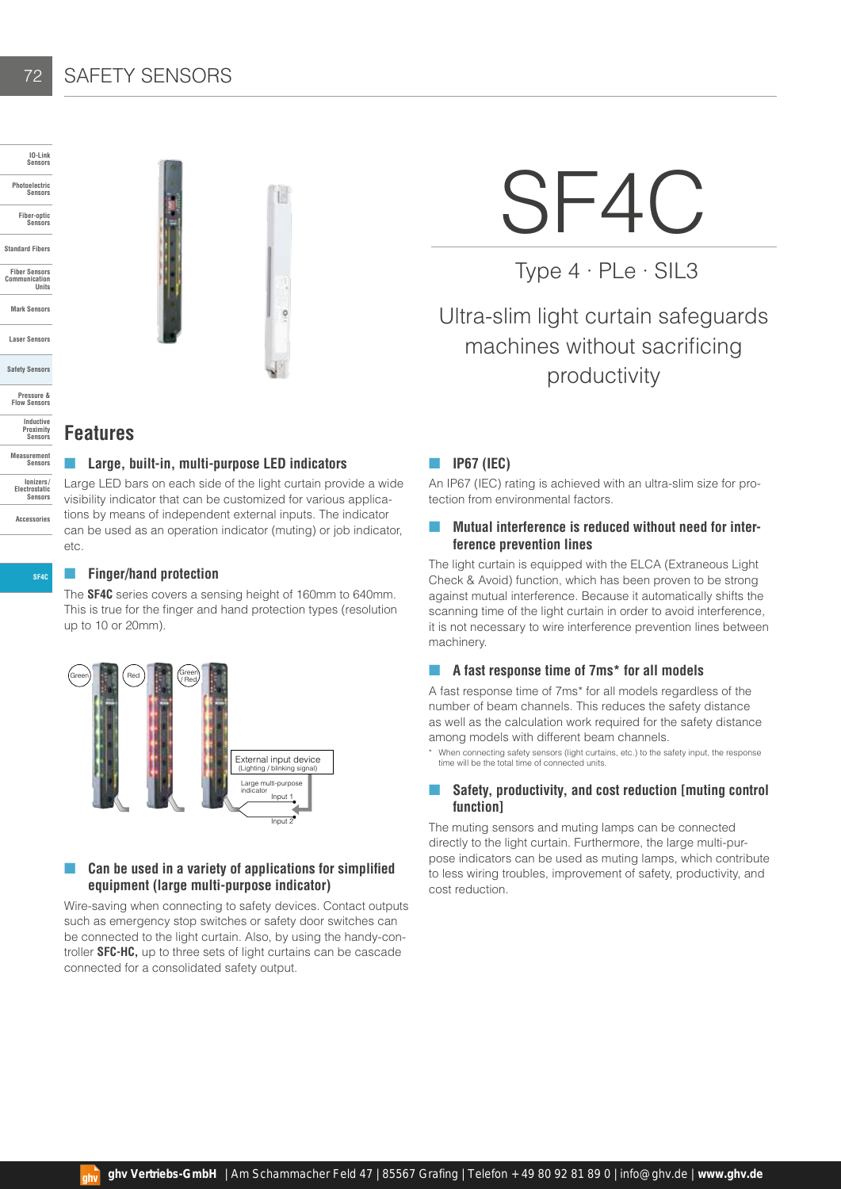## SAFETY SENSORS

72

**SF4C**

**Accessories**



¢

# SF4C

Type 4 · PLe · SIL3

# Ultra-slim light curtain safeguards machines without sacrificing productivity

#### **Features**

#### ■ **Large, built-in, multi-purpose LED indicators**

Large LED bars on each side of the light curtain provide a wide visibility indicator that can be customized for various applications by means of independent external inputs. The indicator can be used as an operation indicator (muting) or job indicator, etc.

#### ■ **Finger/hand protection**

The **SF4C** series covers a sensing height of 160mm to 640mm. This is true for the finger and hand protection types (resolution up to 10 or 20mm).



#### Can be used in a variety of applications for simplified **equipment (large multi-purpose indicator)**

Wire-saving when connecting to safety devices. Contact outputs such as emergency stop switches or safety door switches can be connected to the light curtain. Also, by using the handy-controller **SFC-HC,** up to three sets of light curtains can be cascade connected for a consolidated safety output.

#### ■ **IP67 (IEC)**

An IP67 (IEC) rating is achieved with an ultra-slim size for protection from environmental factors.

#### **Mutual interference is reduced without need for interference prevention lines**

The light curtain is equipped with the ELCA (Extraneous Light Check & Avoid) function, which has been proven to be strong against mutual interference. Because it automatically shifts the scanning time of the light curtain in order to avoid interference, it is not necessary to wire interference prevention lines between machinery.

#### ■ A fast response time of 7ms<sup>\*</sup> for all models

A fast response time of 7ms\* for all models regardless of the number of beam channels. This reduces the safety distance as well as the calculation work required for the safety distance among models with different beam channels.

When connecting safety sensors (light curtains, etc.) to the safety input, the response time will be the total time of connected units.

#### ■ Safety, productivity, and cost reduction [muting control **function]**

The muting sensors and muting lamps can be connected directly to the light curtain. Furthermore, the large multi-purpose indicators can be used as muting lamps, which contribute to less wiring troubles, improvement of safety, productivity, and cost reduction.